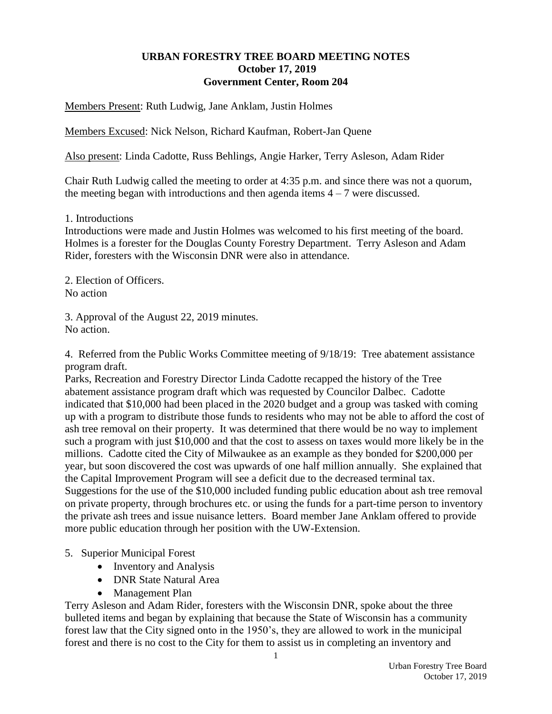## **URBAN FORESTRY TREE BOARD MEETING NOTES October 17, 2019 Government Center, Room 204**

Members Present: Ruth Ludwig, Jane Anklam, Justin Holmes

Members Excused: Nick Nelson, Richard Kaufman, Robert-Jan Quene

Also present: Linda Cadotte, Russ Behlings, Angie Harker, Terry Asleson, Adam Rider

Chair Ruth Ludwig called the meeting to order at 4:35 p.m. and since there was not a quorum, the meeting began with introductions and then agenda items  $4 - 7$  were discussed.

1. Introductions

Introductions were made and Justin Holmes was welcomed to his first meeting of the board. Holmes is a forester for the Douglas County Forestry Department. Terry Asleson and Adam Rider, foresters with the Wisconsin DNR were also in attendance.

2. Election of Officers. No action

3. Approval of the August 22, 2019 minutes. No action.

4. Referred from the Public Works Committee meeting of 9/18/19: Tree abatement assistance program draft.

Parks, Recreation and Forestry Director Linda Cadotte recapped the history of the Tree abatement assistance program draft which was requested by Councilor Dalbec. Cadotte indicated that \$10,000 had been placed in the 2020 budget and a group was tasked with coming up with a program to distribute those funds to residents who may not be able to afford the cost of ash tree removal on their property. It was determined that there would be no way to implement such a program with just \$10,000 and that the cost to assess on taxes would more likely be in the millions. Cadotte cited the City of Milwaukee as an example as they bonded for \$200,000 per year, but soon discovered the cost was upwards of one half million annually. She explained that the Capital Improvement Program will see a deficit due to the decreased terminal tax. Suggestions for the use of the \$10,000 included funding public education about ash tree removal on private property, through brochures etc. or using the funds for a part-time person to inventory the private ash trees and issue nuisance letters. Board member Jane Anklam offered to provide more public education through her position with the UW-Extension.

- 5. Superior Municipal Forest
	- Inventory and Analysis
	- DNR State Natural Area
	- Management Plan

Terry Asleson and Adam Rider, foresters with the Wisconsin DNR, spoke about the three bulleted items and began by explaining that because the State of Wisconsin has a community forest law that the City signed onto in the 1950's, they are allowed to work in the municipal forest and there is no cost to the City for them to assist us in completing an inventory and